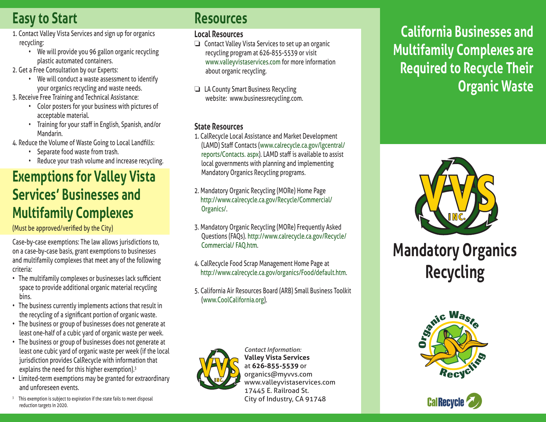# **Easy to Start**

- 1. Contact Valley Vista Services and sign up for organics recycling:
	- We will provide you 96 gallon organic recycling plastic automated containers.
- 2. Get a Free Consultation by our Experts:
	- We will conduct a waste assessment to identify your organics recycling and waste needs.
- 3. Receive Free Training and Technical Assistance:
	- Color posters for your business with pictures of acceptable material.
	- Training for your staff in English, Spanish, and/or Mandarin.
- 4. Reduce the Volume of Waste Going to Local Landfills:
	- Separate food waste from trash.
	- Reduce your trash volume and increase recycling.

## **Exemptions for Valley Vista Services' Businesses and Multifamily Complexes**

(Must be approved/verified by the City)

Case-by-case exemptions: The law allows jurisdictions to, on a case-by-case basis, grant exemptions to businesses and multifamily complexes that meet any of the following criteria:

- The multifamily complexes or businesses lack sufficient space to provide additional organic material recycling bins.
- The business currently implements actions that result in the recycling of a significant portion of organic waste.
- The business or group of businesses does not generate at least one-half of a cubic yard of organic waste per week.
- The business or group of businesses does not generate at least one cubic yard of organic waste per week (if the local jurisdiction provides CalRecycle with information that explains the need for this higher exemption).<sup>3</sup>
- Limited-term exemptions may be granted for extraordinary and unforeseen events.
- <sup>3</sup> This exemption is subject to expiration if the state fails to meet disposal reduction targets in 2020.

### **Resources**

### **Local Resources**

 $\Box$  Contact Valley Vista Services to set up an organic recycling program at 626-855-5539 or visit www.valleyvistaservices.com for more information about organic recycling.

 $\Box$  LA County Smart Business Recycling website: www.businessrecycling.com.

### **State Resources**

- 1. CalRecycle Local Assistance and Market Development (LAMD) Staff Contacts (www.calrecycle.ca.gov/lgcentral/ reports/Contacts. aspx). LAMD staff is available to assist local governments with planning and implementing Mandatory Organics Recycling programs.
- 2. Mandatory Organic Recycling (MORe) Home Page http://www.calrecycle.ca.gov/Recycle/Commercial/ Organics/.
- 3. Mandatory Organic Recycling (MORe) Frequently Asked Questions (FAQs). http://www.calrecycle.ca.gov/Recycle/ Commercial/ FAQ.htm.
- 4. CalRecycle Food Scrap Management Home Page at http://www.calrecycle.ca.gov/organics/Food/default.htm.
- 5. California Air Resources Board (ARB) Small Business Toolkit (www.CoolCalifornia.org).



*Contact Information:* **Valley Vista Services** at **626-855-5539** or organics@myvvs.com www.valleyvistaservices.com 17445 E. Railroad St. City of Industry, CA 91748

# **California Businesses and Multifamily Complexes are Required to Recycle Their Organic Waste**



**Mandatory Organics Recycling**